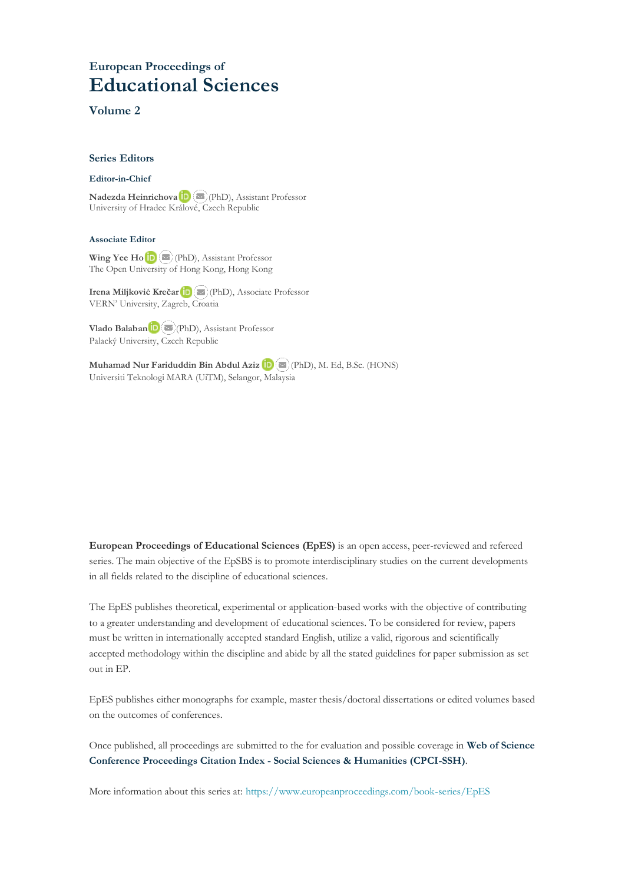# **European Proceedings of Educational Sciences**

#### **Volume 2**

#### **Series Editors**

#### **Editor-in-Chief**

**Nadezda Heinrichova**(PhD), Assistant Professor University of Hradec Králo[vé,](mailto:nadezda.heinrichova@uhk.cz) Czech Republic

#### **Associate Editor**

WingYee Ho $\left(\blacksquare\right)$  (PhD), Assistant Professor The Open Univers[ity](mailto:wingho11@gmail.com) of Hong Kong, Hong Kong

**Irena Miljković Krečar**(PhD), Associate Professor VERN' University, Zagreb, [Croa](mailto:irena.miljkovic@vern.hr)tia

**Vlado Balaban**[\(](mailto:vlado.balaban@upol.cz)PhD), Assistant Professor Palacký University, Czech Republic

**Muhamad Nur Fariduddin Bin Abdul Aziz**(PhD), M. Ed, B.Sc. (HONS) Universiti Teknologi MARA (UiTM), Selangor, Malaysia

**European Proceedings of Educational Sciences (EpES)** is an open access, peer-reviewed and refereed series. The main objective of the EpSBS is to promote interdisciplinary studies on the current developments in all fields related to the discipline of educational sciences.

The EpES publishes theoretical, experimental or application-based works with the objective of contributing to a greater understanding and development of educational sciences. To be considered for review, papers must be written in internationally accepted standard English, utilize a valid, rigorous and scientifically accepted methodology within the discipline and abide by all the stated guidelines for paper submission as set out in EP.

EpES publishes either monographs for example, master thesis/doctoral dissertations or edited volumes based on the outcomes of conferences.

Once published, all proceedings are submitted to the for evaluation and possible coverage in **Web of [Science](https://clarivate.com/webofsciencegroup/solutions/webofscience-cpci/) Conference [Proceedings](https://clarivate.com/webofsciencegroup/solutions/webofscience-cpci/) Citation Index - Social Sciences & Humanities (CPCI-SSH)**.

More information about this series at[: https://www.europeanproceedings.com/book-series/EpES](https://www.europeanproceedings.com/book-series/EpES)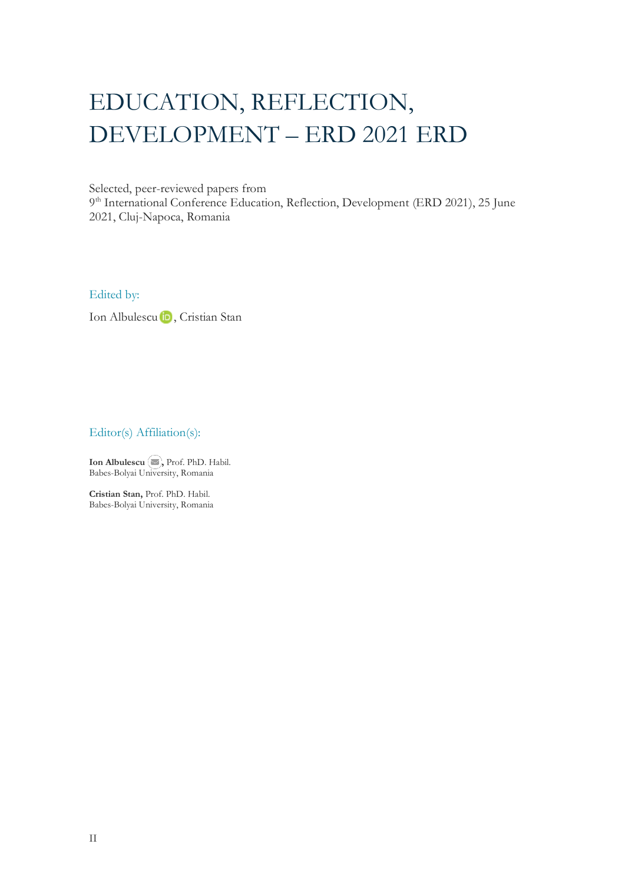# EDUCATION, REFLECTION, DEVELOPMENT – ERD 2021 ERD

Selected, peer-reviewed papers from

9<sup>th</sup> International Conference Education, Reflection, Development (ERD 2021), 25 June 2021, Cluj-Napoca, Romania

Edited by:

IonAlbulescu D, Cristian Stan

Editor(s) Affiliation(s):

**Ion Albulescu**  $\left( \blacksquare \right)$ , Prof. PhD. Habil. Babes-Bolyai University, Romania

**Cristian Stan,** Prof. PhD. Habil. Babes-Bolyai University, Romania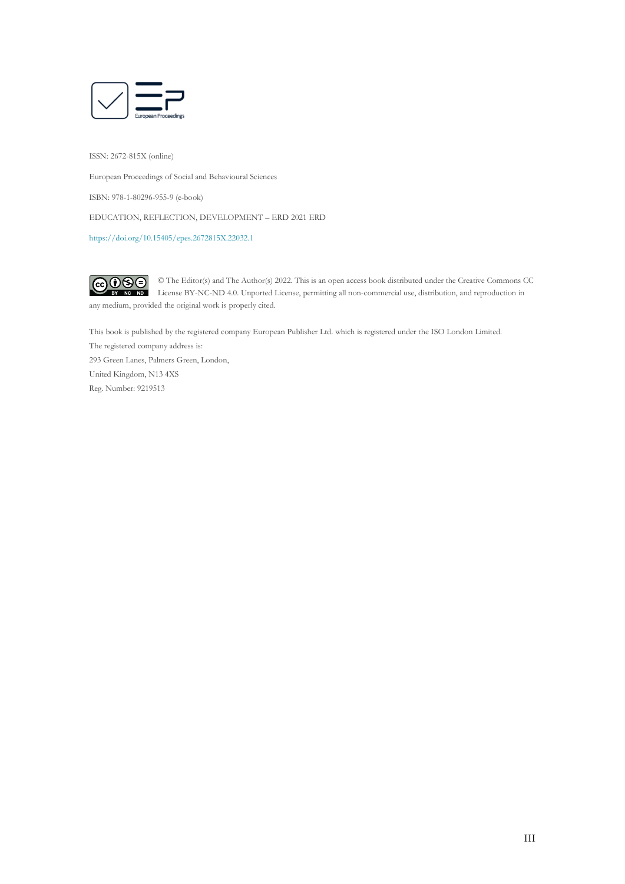

ISSN: 2672-815X (online)

European Proceedings of Social and Behavioural Sciences

ISBN: 978-1-80296-955-9 (e-book)

EDUCATION, REFLECTION, DEVELOPMENT – ERD 2021 ERD

<https://doi.org/10.15405/epes.2672815X.22032.1>

 $CO$  $O$  $O$  $O$ © The Editor(s) and The Author(s) 2022. This is an open access book distributed under the Creative Commons CC License BY-NC-ND 4.0. Unported License, permitting all non-commercial use, distribution, and reproduction in any medium, provided the original work is properly cited.

This book is published by the registered company European Publisher Ltd. which is registered under the ISO London Limited.

The registered company address is: 293 Green Lanes, Palmers Green, London, United Kingdom, N13 4XS Reg. Number: 9219513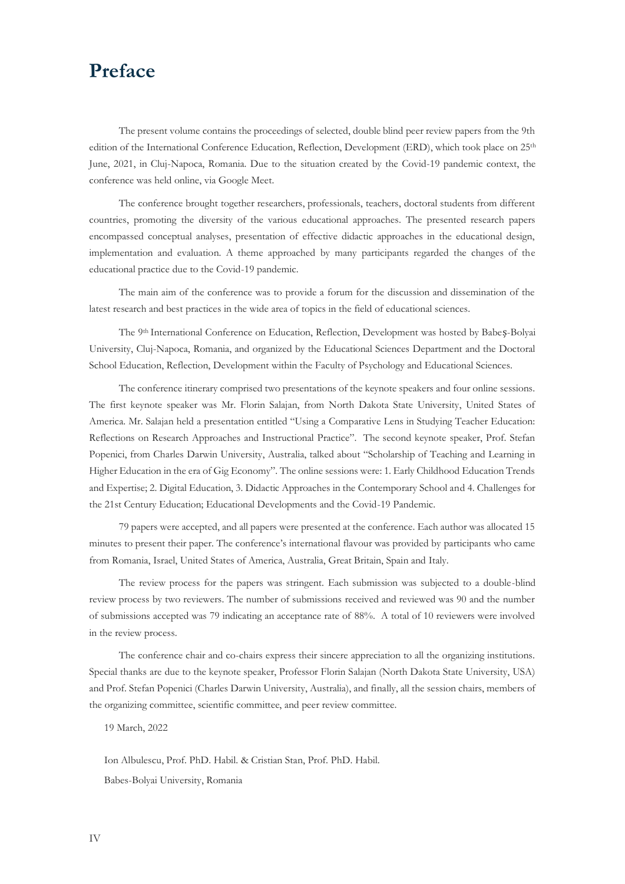# **Preface**

The present volume contains the proceedings of selected, double blind peer review papers from the 9th edition of the International Conference Education, Reflection, Development (ERD), which took place on 25<sup>th</sup> June, 2021, in Cluj-Napoca, Romania. Due to the situation created by the Covid-19 pandemic context, the conference was held online, via Google Meet.

The conference brought together researchers, professionals, teachers, doctoral students from different countries, promoting the diversity of the various educational approaches. The presented research papers encompassed conceptual analyses, presentation of effective didactic approaches in the educational design, implementation and evaluation. A theme approached by many participants regarded the changes of the educational practice due to the Covid-19 pandemic.

The main aim of the conference was to provide a forum for the discussion and dissemination of the latest research and best practices in the wide area of topics in the field of educational sciences.

The 9th International Conference on Education, Reflection, Development was hosted by Babeș-Bolyai University, Cluj-Napoca, Romania, and organized by the Educational Sciences Department and the Doctoral School Education, Reflection, Development within the Faculty of Psychology and Educational Sciences.

The conference itinerary comprised two presentations of the keynote speakers and four online sessions. The first keynote speaker was Mr. Florin Salajan, from North Dakota State University, United States of America. Mr. Salajan held a presentation entitled "Using a Comparative Lens in Studying Teacher Education: Reflections on Research Approaches and Instructional Practice". The second keynote speaker, Prof. Stefan Popenici, from Charles Darwin University, Australia, talked about "Scholarship of Teaching and Learning in Higher Education in the era of Gig Economy". The online sessions were: 1. Early Childhood Education Trends and Expertise; 2. Digital Education, 3. Didactic Approaches in the Contemporary School and 4. Challenges for the 21st Century Education; Educational Developments and the Covid-19 Pandemic.

79 papers were accepted, and all papers were presented at the conference. Each author was allocated 15 minutes to present their paper. The conference's international flavour was provided by participants who came from Romania, Israel, United States of America, Australia, Great Britain, Spain and Italy.

The review process for the papers was stringent. Each submission was subjected to a double-blind review process by two reviewers. The number of submissions received and reviewed was 90 and the number of submissions accepted was 79 indicating an acceptance rate of 88%. A total of 10 reviewers were involved in the review process.

The conference chair and co-chairs express their sincere appreciation to all the organizing institutions. Special thanks are due to the keynote speaker, Professor Florin Salajan (North Dakota State University, USA) and Prof. Stefan Popenici (Charles Darwin University, Australia), and finally, all the session chairs, members of the organizing committee, scientific committee, and peer review committee.

19 March, 2022

Ion Albulescu, Prof. PhD. Habil. & Cristian Stan, Prof. PhD. Habil. Babes-Bolyai University, Romania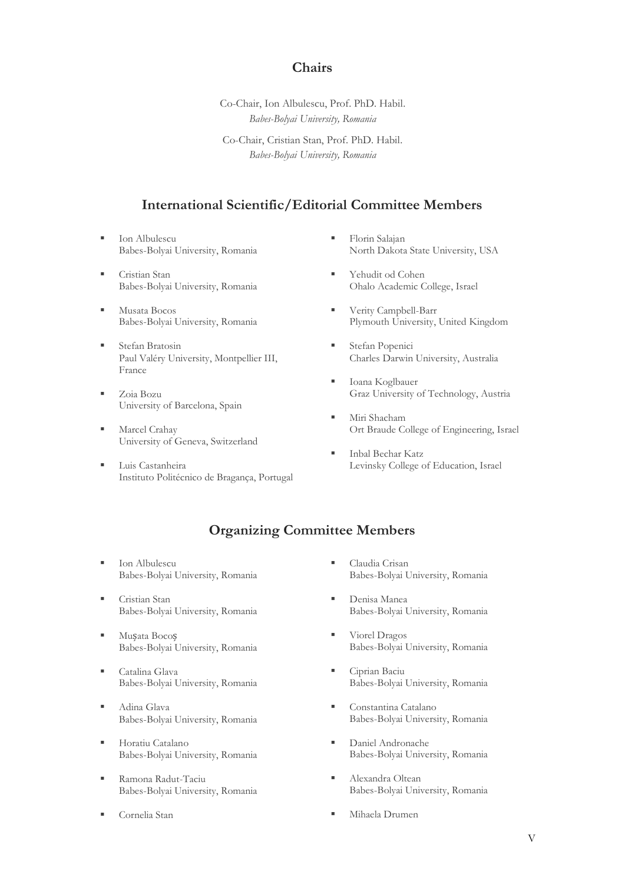### **Chairs**

Co-Chair, Ion Albulescu, Prof. PhD. Habil. *Babes-Bolyai University, Romania*

Co-Chair, Cristian Stan, Prof. PhD. Habil. *Babes-Bolyai University, Romania*

### **International Scientific/Editorial Committee Members**

- Ion Albulescu Babes-Bolyai University, Romania
- Cristian Stan Babes-Bolyai University, Romania
- Musata Bocos Babes-Bolyai University, Romania
- Stefan Bratosin Paul Valéry University, Montpellier III, France
- Zoia Bozu University of Barcelona, Spain
- Marcel Crahay University of Geneva, Switzerland
- Luis Castanheira Instituto Politécnico de Bragança, Portugal
- Florin Salajan North Dakota State University, USA
- Yehudit od Cohen Ohalo Academic College, Israel
- Verity Campbell-Barr Plymouth University, United Kingdom
- **Executed B** Stefan Popenici Charles Darwin University, Australia
- Ioana Koglbauer Graz University of Technology, Austria
- Miri Shacham Ort Braude College of Engineering, Israel
- Inbal Bechar Katz Levinsky College of Education, Israel

### **Organizing Committee Members**

- **Ion Albulescu** Babes-Bolyai University, Romania
- Cristian Stan Babes-Bolyai University, Romania
- Mușata Bocoș Babes-Bolyai University, Romania
- Catalina Glava Babes-Bolyai University, Romania
- Adina Glava Babes-Bolyai University, Romania
- **·** Horatiu Catalano Babes-Bolyai University, Romania
- Ramona Radut-Taciu Babes-Bolyai University, Romania
- Cornelia Stan
- Claudia Crisan Babes-Bolyai University, Romania
- Denisa Manea Babes-Bolyai University, Romania
- Viorel Dragos Babes-Bolyai University, Romania
- Ciprian Baciu Babes-Bolyai University, Romania
- Constantina Catalano Babes-Bolyai University, Romania
- Daniel Andronache Babes-Bolyai University, Romania
- Alexandra Oltean Babes-Bolyai University, Romania
- Mihaela Drumen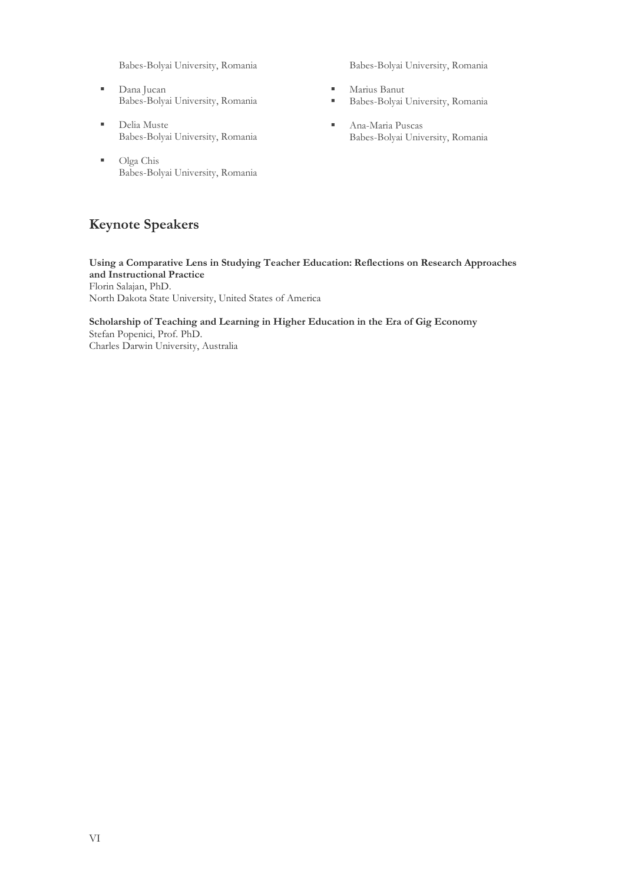Babes-Bolyai University, Romania

- Dana Jucan Babes-Bolyai University, Romania
- Delia Muste Babes-Bolyai University, Romania
- Olga Chis Babes-Bolyai University, Romania

## **Keynote Speakers**

Babes-Bolyai University, Romania

- Marius Banut
- Babes-Bolyai University, Romania
- Ana-Maria Puscas Babes-Bolyai University, Romania

**Using a Comparative Lens in Studying Teacher Education: Reflections on Research Approaches and Instructional Practice** Florin Salajan, PhD. North Dakota State University, United States of America

**Scholarship of Teaching and Learning in Higher Education in the Era of Gig Economy** Stefan Popenici, Prof. PhD. Charles Darwin University, Australia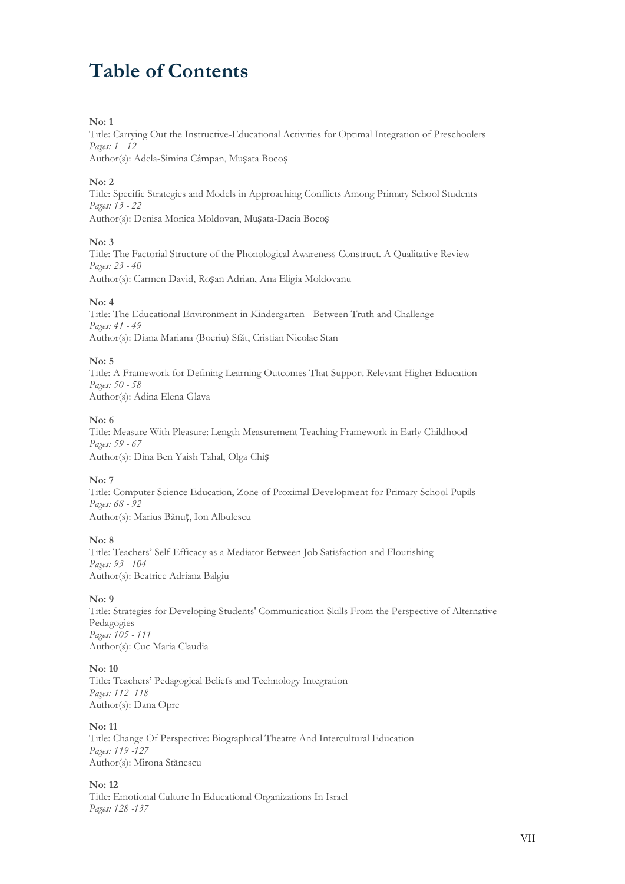# **Table of Contents**

#### **No: 1**

Title: Carrying Out the Instructive-Educational Activities for Optimal Integration of Preschoolers *Pages: 1 - 12* Author(s): Adela-Simina Câmpan, Mușata Bocoș

#### **No: 2**

Title: Specific Strategies and Models in Approaching Conflicts Among Primary School Students *Pages: 13 - 22* Author(s): Denisa Monica Moldovan, Mușata-Dacia Bocoș

#### **No: 3**

Title: The Factorial Structure of the Phonological Awareness Construct. A Qualitative Review *Pages: 23 - 40* Author(s): Carmen David, Roșan Adrian, Ana Eligia Moldovanu

#### **No: 4**

Title: The Educational Environment in Kindergarten - Between Truth and Challenge *Pages: 41 - 49* Author(s): Diana Mariana (Boeriu) Sfăt, Cristian Nicolae Stan

#### **No: 5**

Title: A Framework for Defining Learning Outcomes That Support Relevant Higher Education *Pages: 50 - 58* Author(s): Adina Elena Glava

#### **No: 6**

Title: Measure With Pleasure: Length Measurement Teaching Framework in Early Childhood *Pages: 59 - 67* Author(s): Dina Ben Yaish Tahal, Olga Chiș

#### **No: 7**

Title: Computer Science Education, Zone of Proximal Development for Primary School Pupils *Pages: 68 - 92* Author(s): Marius Bănuț, Ion Albulescu

#### **No: 8**

Title: Teachers' Self-Efficacy as a Mediator Between Job Satisfaction and Flourishing *Pages: 93 - 104* Author(s): Beatrice Adriana Balgiu

#### **No: 9**

Title: Strategies for Developing Students' Communication Skills From the Perspective of Alternative Pedagogies *Pages: 105 - 111* Author(s): Cuc Maria Claudia

#### **No: 10**

Title: Teachers' Pedagogical Beliefs and Technology Integration *Pages: 112 -118* Author(s): Dana Opre

#### **No: 11**

Title: Change Of Perspective: Biographical Theatre And Intercultural Education *Pages: 119 -127* Author(s): Mirona Stănescu

#### **No: 12**

Title: Emotional Culture In Educational Organizations In Israel *Pages: 128 -137*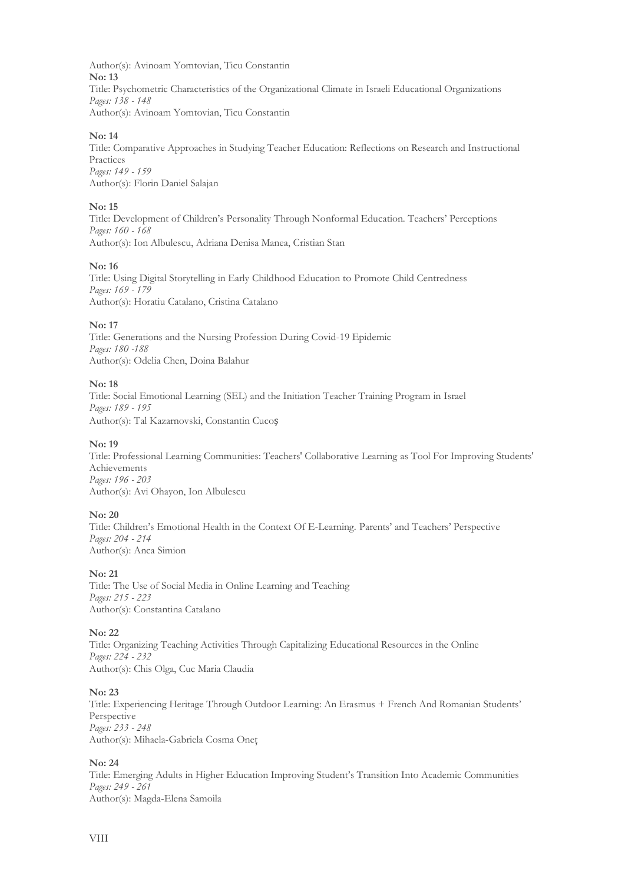Author(s): Avinoam Yomtovian, Ticu Constantin **No: 13** Title: Psychometric Characteristics of the Organizational Climate in Israeli Educational Organizations *Pages: 138 - 148* Author(s): Avinoam Yomtovian, Ticu Constantin

#### **No: 14**

Title: Comparative Approaches in Studying Teacher Education: Reflections on Research and Instructional Practices *Pages: 149 - 159* Author(s): Florin Daniel Salajan

#### **No: 15**

Title: Development of Children's Personality Through Nonformal Education. Teachers' Perceptions *Pages: 160 - 168* Author(s): Ion Albulescu, Adriana Denisa Manea, Cristian Stan

#### **No: 16**

Title: Using Digital Storytelling in Early Childhood Education to Promote Child Centredness *Pages: 169 - 179* Author(s): Horatiu Catalano, Cristina Catalano

#### **No: 17**

Title: Generations and the Nursing Profession During Covid-19 Epidemic *Pages: 180 -188* Author(s): Odelia Chen, Doina Balahur

#### **No: 18**

Title: Social Emotional Learning (SEL) and the Initiation Teacher Training Program in Israel *Pages: 189 - 195* Author(s): Tal Kazarnovski, Constantin Cucoș

#### **No: 19**

Title: Professional Learning Communities: Teachers' Collaborative Learning as Tool For Improving Students' Achievements *Pages: 196 - 203* Author(s): Avi Ohayon, Ion Albulescu

#### **No: 20**

Title: Children's Emotional Health in the Context Of E-Learning. Parents' and Teachers' Perspective *Pages: 204 - 214* Author(s): Anca Simion

#### **No: 21**

Title: The Use of Social Media in Online Learning and Teaching *Pages: 215 - 223* Author(s): Constantina Catalano

#### **No: 22**

Title: Organizing Teaching Activities Through Capitalizing Educational Resources in the Online *Pages: 224 - 232* Author(s): Chis Olga, Cuc Maria Claudia

#### **No: 23**

Title: Experiencing Heritage Through Outdoor Learning: An Erasmus + French And Romanian Students' Perspective *Pages: 233 - 248* Author(s): Mihaela-Gabriela Cosma Oneţ

#### **No: 24**

Title: Emerging Adults in Higher Education Improving Student's Transition Into Academic Communities *Pages: 249 - 261* Author(s): Magda-Elena Samoila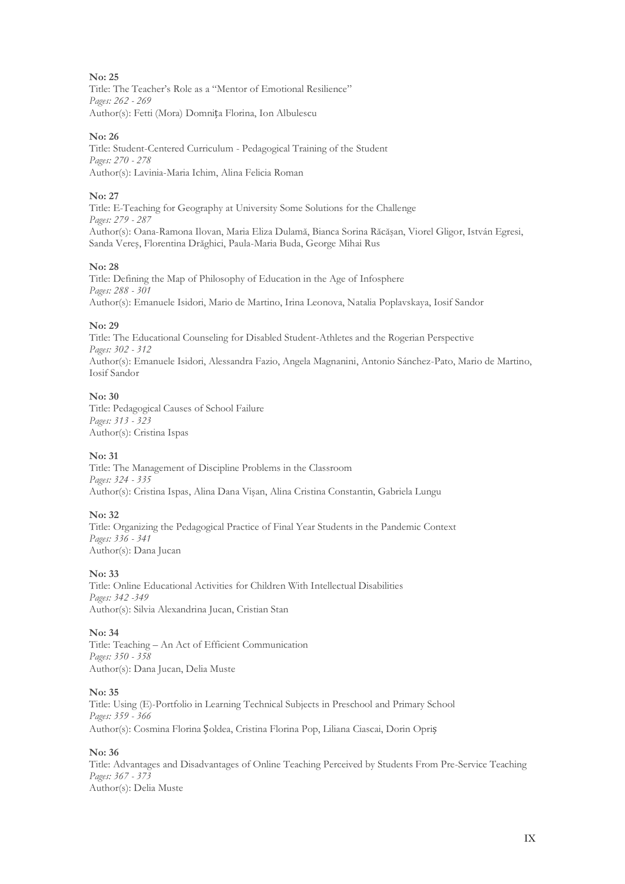#### **No: 25**

Title: The Teacher's Role as a "Mentor of Emotional Resilience" *Pages: 262 - 269* Author(s): Fetti (Mora) Domnița Florina, Ion Albulescu

#### **No: 26**

Title: Student-Centered Curriculum - Pedagogical Training of the Student *Pages: 270 - 278* Author(s): Lavinia-Maria Ichim, Alina Felicia Roman

#### **No: 27**

Title: E-Teaching for Geography at University Some Solutions for the Challenge *Pages: 279 - 287* Author(s): Oana-Ramona Ilovan, Maria Eliza Dulamă, Bianca Sorina Răcăşan, Viorel Gligor, István Egresi, Sanda Vereş, Florentina Drăghici, Paula-Maria Buda, George Mihai Rus

#### **No: 28**

Title: Defining the Map of Philosophy of Education in the Age of Infosphere *Pages: 288 - 301* Author(s): Emanuele Isidori, Mario de Martino, Irina Leonova, Natalia Poplavskaya, Iosif Sandor

#### **No: 29**

Title: The Educational Counseling for Disabled Student-Athletes and the Rogerian Perspective *Pages: 302 - 312* Author(s): Emanuele Isidori, Alessandra Fazio, Angela Magnanini, Antonio Sánchez-Pato, Mario de Martino, Iosif Sandor

#### **No: 30**

Title: Pedagogical Causes of School Failure *Pages: 313 - 323* Author(s): Cristina Ispas

#### **No: 31**

Title: The Management of Discipline Problems in the Classroom *Pages: 324 - 335* Author(s): Cristina Ispas, Alina Dana Vişan, Alina Cristina Constantin, Gabriela Lungu

#### **No: 32**

Title: Organizing the Pedagogical Practice of Final Year Students in the Pandemic Context *Pages: 336 - 341* Author(s): Dana Jucan

#### **No: 33**

Title: Online Educational Activities for Children With Intellectual Disabilities *Pages: 342 -349* Author(s): Silvia Alexandrina Jucan, Cristian Stan

#### **No: 34**

Title: Teaching – An Act of Efficient Communication *Pages: 350 - 358* Author(s): Dana Jucan, Delia Muste

#### **No: 35**

Title: Using (E)-Portfolio in Learning Technical Subjects in Preschool and Primary School *Pages: 359 - 366* Author(s): Cosmina Florina Șoldea, Cristina Florina Pop, Liliana Ciascai, Dorin Opriș

#### **No: 36**

Title: Advantages and Disadvantages of Online Teaching Perceived by Students From Pre-Service Teaching *Pages: 367 - 373* Author(s): Delia Muste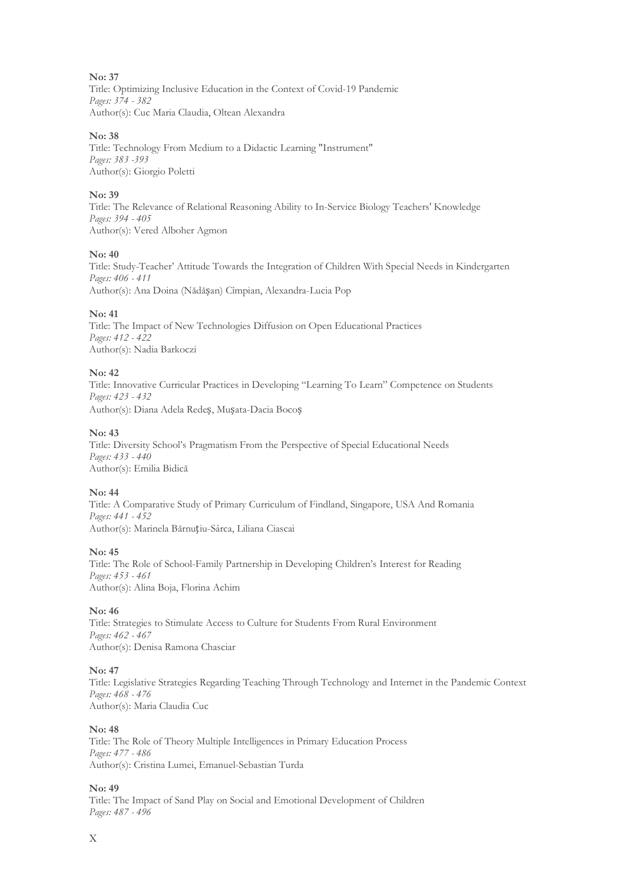#### **No: 37**

Title: Optimizing Inclusive Education in the Context of Covid-19 Pandemic *Pages: 374 - 382* Author(s): Cuc Maria Claudia, Oltean Alexandra

#### **No: 38**

Title: Technology From Medium to a Didactic Learning "Instrument" *Pages: 383 -393* Author(s): Giorgio Poletti

#### **No: 39**

Title: The Relevance of Relational Reasoning Ability to In-Service Biology Teachers' Knowledge *Pages: 394 - 405* Author(s): Vered Alboher Agmon

#### **No: 40**

Title: Study-Teacher' Attitude Towards the Integration of Children With Special Needs in Kindergarten *Pages: 406 - 411* Author(s): Ana Doina (Nădășan) Cîmpian, Alexandra-Lucia Pop

#### **No: 41**

Title: The Impact of New Technologies Diffusion on Open Educational Practices *Pages: 412 - 422* Author(s): Nadia Barkoczi

#### **No: 42**

Title: Innovative Curricular Practices in Developing "Learning To Learn" Competence on Students *Pages: 423 - 432*

Author(s): Diana Adela Redeș, Mușata-Dacia Bocoș

#### **No: 43**

Title: Diversity School's Pragmatism From the Perspective of Special Educational Needs *Pages: 433 - 440* Author(s): Emilia Bidică

#### **No: 44**

Title: A Comparative Study of Primary Curriculum of Findland, Singapore, USA And Romania *Pages: 441 - 452* Author(s): Marinela Bărnuțiu-Sârca, Liliana Ciascai

#### **No: 45**

Title: The Role of School-Family Partnership in Developing Children's Interest for Reading *Pages: 453 - 461* Author(s): Alina Boja, Florina Achim

#### **No: 46**

Title: Strategies to Stimulate Access to Culture for Students From Rural Environment *Pages: 462 - 467* Author(s): Denisa Ramona Chasciar

#### **No: 47**

Title: Legislative Strategies Regarding Teaching Through Technology and Internet in the Pandemic Context *Pages: 468 - 476* Author(s): Maria Claudia Cuc

#### **No: 48**

Title: The Role of Theory Multiple Intelligences in Primary Education Process *Pages: 477 - 486* Author(s): Cristina Lumei, Emanuel-Sebastian Turda

#### **No: 49**

Title: The Impact of Sand Play on Social and Emotional Development of Children *Pages: 487 - 496*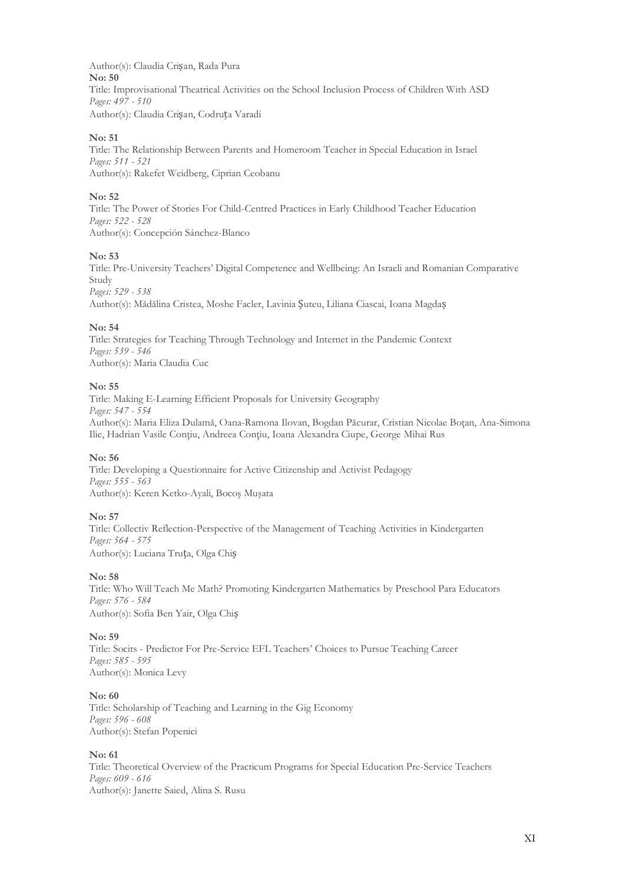Author(s): Claudia Crișan, Rada Pura **No: 50** Title: Improvisational Theatrical Activities on the School Inclusion Process of Children With ASD *Pages: 497 - 510* Author(s): Claudia Crișan, Codruța Varadi

#### **No: 51**

Title: The Relationship Between Parents and Homeroom Teacher in Special Education in Israel *Pages: 511 - 521* Author(s): Rakefet Weidberg, Ciprian Ceobanu

#### **No: 52**

Title: The Power of Stories For Child-Centred Practices in Early Childhood Teacher Education *Pages: 522 - 528* Author(s): Concepción Sánchez-Blanco

#### **No: 53**

Title: Pre-University Teachers' Digital Competence and Wellbeing: An Israeli and Romanian Comparative Study *Pages: 529 - 538* Author(s): Mădălina Cristea, Moshe Facler, Lavinia Șuteu, Liliana Ciascai, Ioana Magdaș

#### **No: 54**

Title: Strategies for Teaching Through Technology and Internet in the Pandemic Context *Pages: 539 - 546* Author(s): Maria Claudia Cuc

#### **No: 55**

Title: Making E-Learning Efficient Proposals for University Geography *Pages: 547 - 554* Author(s): Maria Eliza Dulamă, Oana-Ramona Ilovan, Bogdan Păcurar, Cristian Nicolae Boţan, Ana-Simona Ilie, Hadrian Vasile Conţiu, Andreea Conţiu, Ioana Alexandra Ciupe, George Mihai Rus

#### **No: 56**

Title: Developing a Questionnaire for Active Citizenship and Activist Pedagogy *Pages: 555 - 563* Author(s): Keren Ketko-Ayali, Bocoş Muşata

#### **No: 57**

Title: Collectiv Reflection-Perspective of the Management of Teaching Activities in Kindergarten *Pages: 564 - 575* Author(s): Luciana Truța, Olga Chiș

#### **No: 58**

Title: Who Will Teach Me Math? Promoting Kindergarten Mathematics by Preschool Para Educators *Pages: 576 - 584* Author(s): Sofia Ben Yair, Olga Chiș

#### **No: 59**

Title: Socits - Predictor For Pre-Service EFL Teachers' Choices to Pursue Teaching Career *Pages: 585 - 595* Author(s): Monica Levy

#### **No: 60**

Title: Scholarship of Teaching and Learning in the Gig Economy *Pages: 596 - 608* Author(s): Stefan Popenici

#### **No: 61**

Title: Theoretical Overview of the Practicum Programs for Special Education Pre-Service Teachers *Pages: 609 - 616* Author(s): Janette Saied, Alina S. Rusu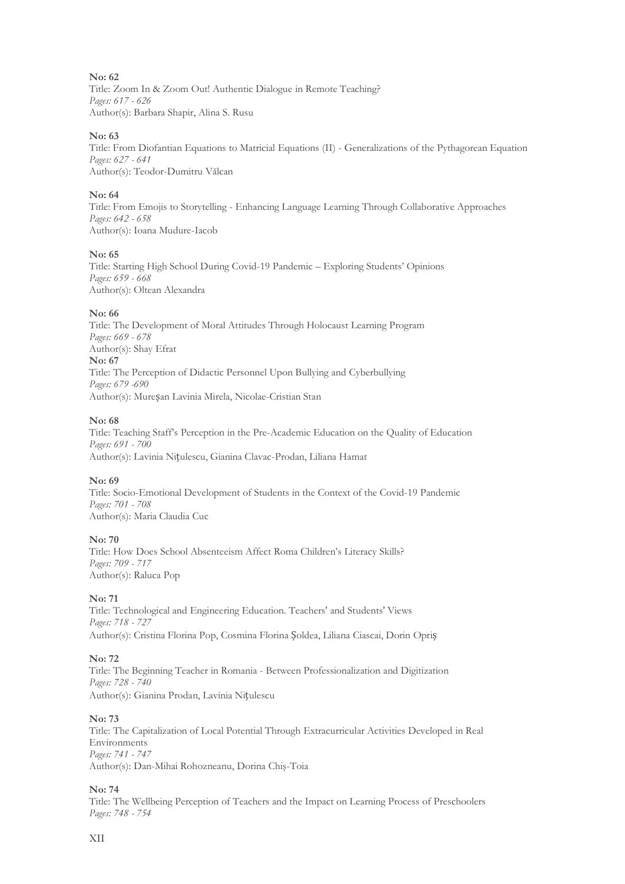**No: 62** Title: Zoom In & Zoom Out! Authentic Dialogue in Remote Teaching? *Pages: 617 - 626* Author(s): Barbara Shapir, Alina S. Rusu

#### **No: 63**

Title: From Diofantian Equations to Matricial Equations (II) - Generalizations of the Pythagorean Equation *Pages: 627 - 641* Author(s): Teodor-Dumitru Vălcan

#### **No: 64**

Title: From Emojis to Storytelling - Enhancing Language Learning Through Collaborative Approaches *Pages: 642 - 658* Author(s): Ioana Mudure-Iacob

#### **No: 65**

Title: Starting High School During Covid-19 Pandemic – Exploring Students' Opinions *Pages: 659 - 668* Author(s): Oltean Alexandra

#### **No: 66**

Title: The Development of Moral Attitudes Through Holocaust Learning Program *Pages: 669 - 678* Author(s): Shay Efrat **No: 67** Title: The Perception of Didactic Personnel Upon Bullying and Cyberbullying *Pages: 679 -690* Author(s): Mureșan Lavinia Mirela, Nicolae-Cristian Stan

#### **No: 68**

Title: Teaching Staff's Perception in the Pre-Academic Education on the Quality of Education *Pages: 691 - 700* Author(s): Lavinia Nițulescu, Gianina Clavac-Prodan, Liliana Hamat

#### **No: 69**

Title: Socio-Emotional Development of Students in the Context of the Covid-19 Pandemic *Pages: 701 - 708* Author(s): Maria Claudia Cuc

#### **No: 70**

Title: How Does School Absenteeism Affect Roma Children's Literacy Skills? *Pages: 709 - 717* Author(s): Raluca Pop

#### **No: 71**

Title: Technological and Engineering Education. Teachers' and Students' Views *Pages: 718 - 727* Author(s): Cristina Florina Pop, Cosmina Florina Șoldea, Liliana Ciascai, Dorin Opriș

#### **No: 72**

Title: The Beginning Teacher in Romania - Between Professionalization and Digitization *Pages: 728 - 740* Author(s): Gianina Prodan, Lavinia Nițulescu

#### **No: 73**

Title: The Capitalization of Local Potential Through Extracurricular Activities Developed in Real Environments *Pages: 741 - 747* Author(s): Dan-Mihai Rohozneanu, Dorina Chiş-Toia

#### **No: 74**

Title: The Wellbeing Perception of Teachers and the Impact on Learning Process of Preschoolers *Pages: 748 - 754*